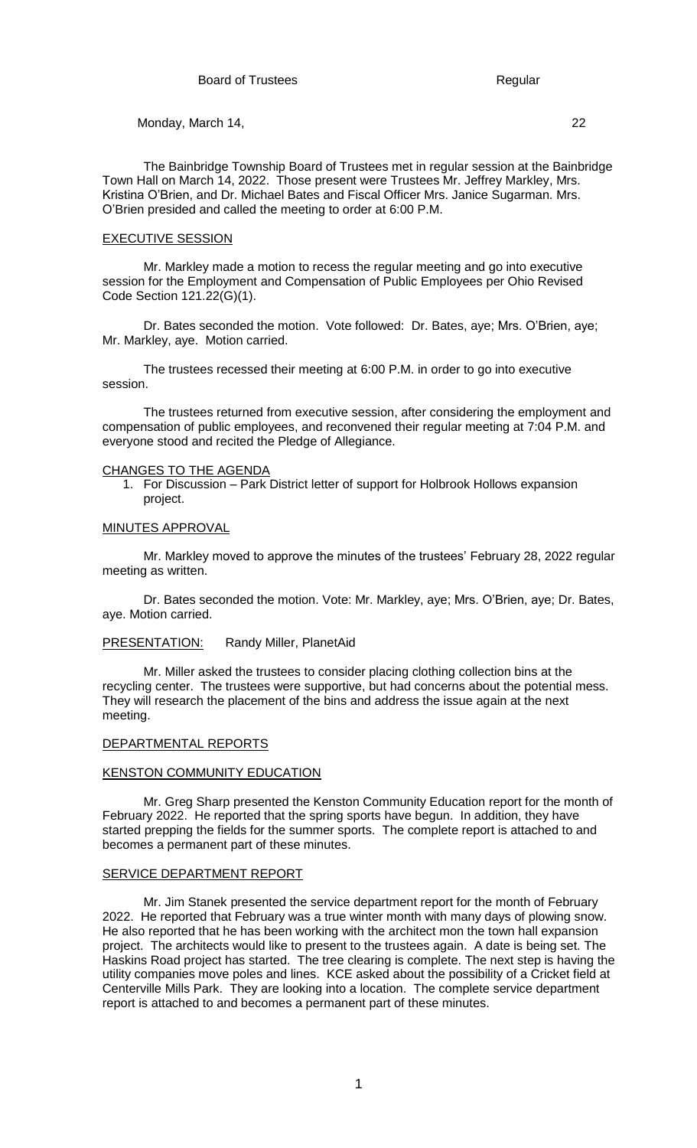The Bainbridge Township Board of Trustees met in regular session at the Bainbridge Town Hall on March 14, 2022. Those present were Trustees Mr. Jeffrey Markley, Mrs. Kristina O'Brien, and Dr. Michael Bates and Fiscal Officer Mrs. Janice Sugarman. Mrs. O'Brien presided and called the meeting to order at 6:00 P.M.

#### EXECUTIVE SESSION

Mr. Markley made a motion to recess the regular meeting and go into executive session for the Employment and Compensation of Public Employees per Ohio Revised Code Section 121.22(G)(1).

Dr. Bates seconded the motion. Vote followed: Dr. Bates, aye; Mrs. O'Brien, aye; Mr. Markley, aye. Motion carried.

The trustees recessed their meeting at 6:00 P.M. in order to go into executive session.

The trustees returned from executive session, after considering the employment and compensation of public employees, and reconvened their regular meeting at 7:04 P.M. and everyone stood and recited the Pledge of Allegiance.

#### CHANGES TO THE AGENDA

1. For Discussion – Park District letter of support for Holbrook Hollows expansion project.

#### MINUTES APPROVAL

Mr. Markley moved to approve the minutes of the trustees' February 28, 2022 regular meeting as written.

Dr. Bates seconded the motion. Vote: Mr. Markley, aye; Mrs. O'Brien, aye; Dr. Bates, aye. Motion carried.

## PRESENTATION: Randy Miller, PlanetAid

Mr. Miller asked the trustees to consider placing clothing collection bins at the recycling center. The trustees were supportive, but had concerns about the potential mess. They will research the placement of the bins and address the issue again at the next meeting.

## DEPARTMENTAL REPORTS

#### KENSTON COMMUNITY EDUCATION

Mr. Greg Sharp presented the Kenston Community Education report for the month of February 2022. He reported that the spring sports have begun. In addition, they have started prepping the fields for the summer sports. The complete report is attached to and becomes a permanent part of these minutes.

#### SERVICE DEPARTMENT REPORT

Mr. Jim Stanek presented the service department report for the month of February 2022. He reported that February was a true winter month with many days of plowing snow. He also reported that he has been working with the architect mon the town hall expansion project. The architects would like to present to the trustees again. A date is being set. The Haskins Road project has started. The tree clearing is complete. The next step is having the utility companies move poles and lines. KCE asked about the possibility of a Cricket field at Centerville Mills Park. They are looking into a location. The complete service department report is attached to and becomes a permanent part of these minutes.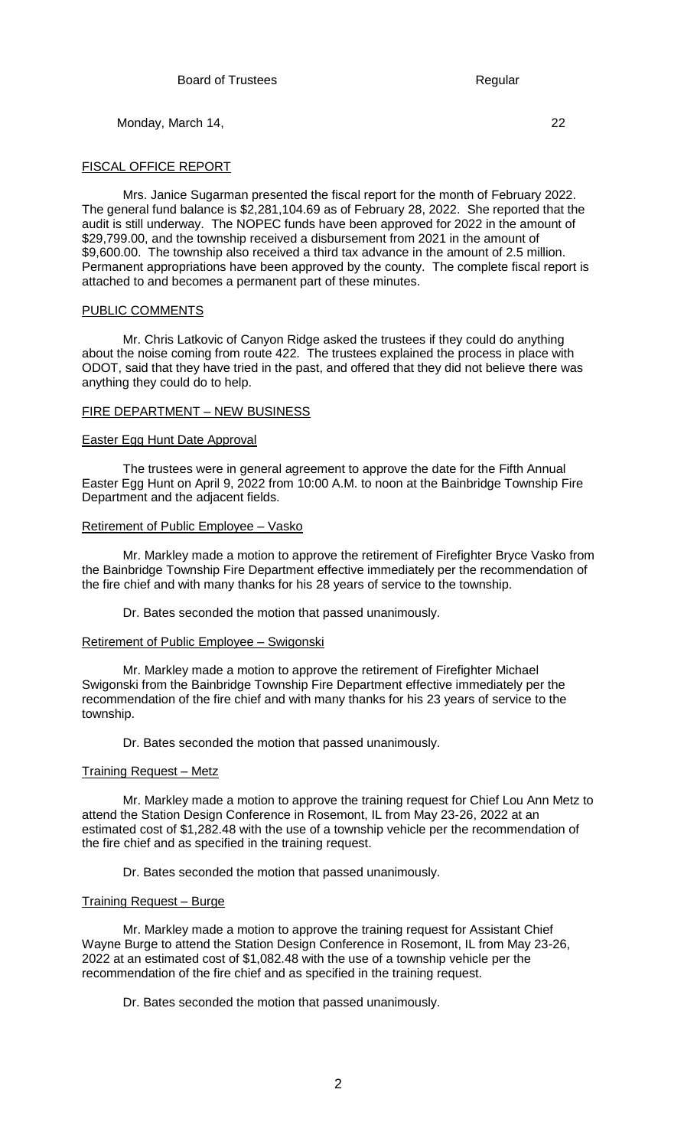FISCAL OFFICE REPORT

Mrs. Janice Sugarman presented the fiscal report for the month of February 2022. The general fund balance is \$2,281,104.69 as of February 28, 2022. She reported that the audit is still underway. The NOPEC funds have been approved for 2022 in the amount of \$29,799.00, and the township received a disbursement from 2021 in the amount of \$9,600.00. The township also received a third tax advance in the amount of 2.5 million. Permanent appropriations have been approved by the county. The complete fiscal report is attached to and becomes a permanent part of these minutes.

### PUBLIC COMMENTS

Mr. Chris Latkovic of Canyon Ridge asked the trustees if they could do anything about the noise coming from route 422. The trustees explained the process in place with ODOT, said that they have tried in the past, and offered that they did not believe there was anything they could do to help.

## FIRE DEPARTMENT – NEW BUSINESS

### Easter Egg Hunt Date Approval

The trustees were in general agreement to approve the date for the Fifth Annual Easter Egg Hunt on April 9, 2022 from 10:00 A.M. to noon at the Bainbridge Township Fire Department and the adjacent fields.

## Retirement of Public Employee – Vasko

Mr. Markley made a motion to approve the retirement of Firefighter Bryce Vasko from the Bainbridge Township Fire Department effective immediately per the recommendation of the fire chief and with many thanks for his 28 years of service to the township.

Dr. Bates seconded the motion that passed unanimously.

# Retirement of Public Employee – Swigonski

Mr. Markley made a motion to approve the retirement of Firefighter Michael Swigonski from the Bainbridge Township Fire Department effective immediately per the recommendation of the fire chief and with many thanks for his 23 years of service to the township.

Dr. Bates seconded the motion that passed unanimously.

### Training Request – Metz

Mr. Markley made a motion to approve the training request for Chief Lou Ann Metz to attend the Station Design Conference in Rosemont, IL from May 23-26, 2022 at an estimated cost of \$1,282.48 with the use of a township vehicle per the recommendation of the fire chief and as specified in the training request.

Dr. Bates seconded the motion that passed unanimously.

### Training Request – Burge

Mr. Markley made a motion to approve the training request for Assistant Chief Wayne Burge to attend the Station Design Conference in Rosemont, IL from May 23-26, 2022 at an estimated cost of \$1,082.48 with the use of a township vehicle per the recommendation of the fire chief and as specified in the training request.

Dr. Bates seconded the motion that passed unanimously.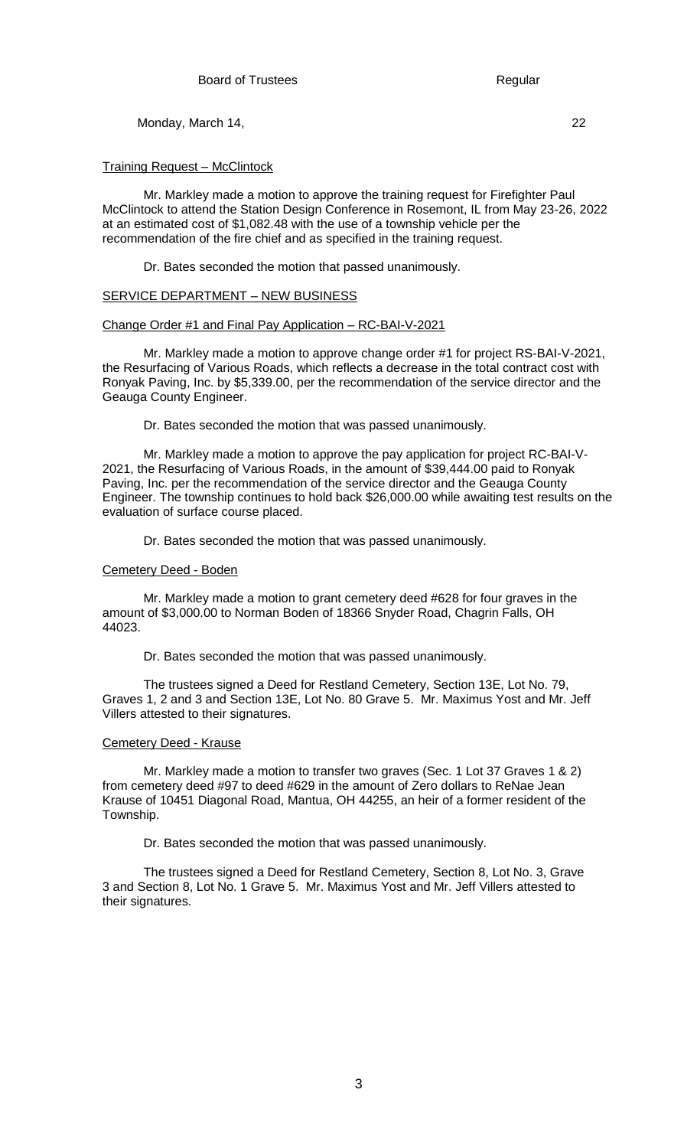Training Request – McClintock

Mr. Markley made a motion to approve the training request for Firefighter Paul McClintock to attend the Station Design Conference in Rosemont, IL from May 23-26, 2022 at an estimated cost of \$1,082.48 with the use of a township vehicle per the recommendation of the fire chief and as specified in the training request.

Dr. Bates seconded the motion that passed unanimously.

## SERVICE DEPARTMENT – NEW BUSINESS

## Change Order #1 and Final Pay Application – RC-BAI-V-2021

Mr. Markley made a motion to approve change order #1 for project RS-BAI-V-2021, the Resurfacing of Various Roads, which reflects a decrease in the total contract cost with Ronyak Paving, Inc. by \$5,339.00, per the recommendation of the service director and the Geauga County Engineer.

Dr. Bates seconded the motion that was passed unanimously.

Mr. Markley made a motion to approve the pay application for project RC-BAI-V-2021, the Resurfacing of Various Roads, in the amount of \$39,444.00 paid to Ronyak Paving, Inc. per the recommendation of the service director and the Geauga County Engineer. The township continues to hold back \$26,000.00 while awaiting test results on the evaluation of surface course placed.

Dr. Bates seconded the motion that was passed unanimously.

### Cemetery Deed - Boden

Mr. Markley made a motion to grant cemetery deed #628 for four graves in the amount of \$3,000.00 to Norman Boden of 18366 Snyder Road, Chagrin Falls, OH 44023.

Dr. Bates seconded the motion that was passed unanimously.

The trustees signed a Deed for Restland Cemetery, Section 13E, Lot No. 79, Graves 1, 2 and 3 and Section 13E, Lot No. 80 Grave 5. Mr. Maximus Yost and Mr. Jeff Villers attested to their signatures.

# Cemetery Deed - Krause

Mr. Markley made a motion to transfer two graves (Sec. 1 Lot 37 Graves 1 & 2) from cemetery deed #97 to deed #629 in the amount of Zero dollars to ReNae Jean Krause of 10451 Diagonal Road, Mantua, OH 44255, an heir of a former resident of the Township.

Dr. Bates seconded the motion that was passed unanimously.

The trustees signed a Deed for Restland Cemetery, Section 8, Lot No. 3, Grave 3 and Section 8, Lot No. 1 Grave 5. Mr. Maximus Yost and Mr. Jeff Villers attested to their signatures.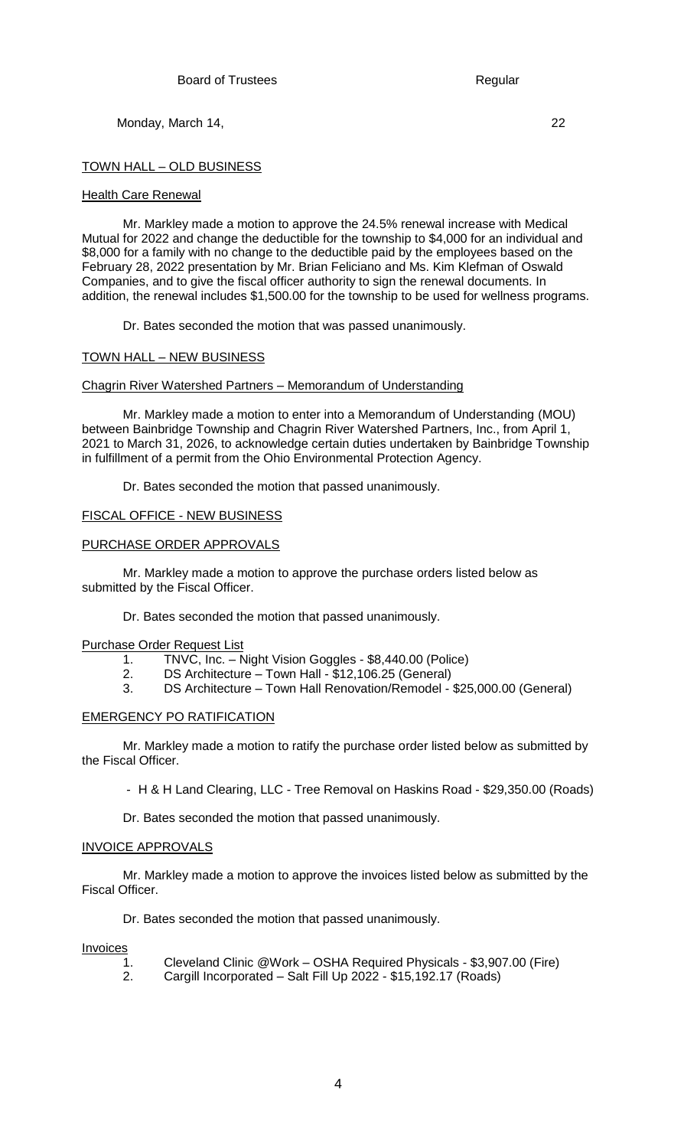## TOWN HALL – OLD BUSINESS

#### Health Care Renewal

Mr. Markley made a motion to approve the 24.5% renewal increase with Medical Mutual for 2022 and change the deductible for the township to \$4,000 for an individual and \$8,000 for a family with no change to the deductible paid by the employees based on the February 28, 2022 presentation by Mr. Brian Feliciano and Ms. Kim Klefman of Oswald Companies, and to give the fiscal officer authority to sign the renewal documents. In addition, the renewal includes \$1,500.00 for the township to be used for wellness programs.

Dr. Bates seconded the motion that was passed unanimously.

### TOWN HALL – NEW BUSINESS

#### Chagrin River Watershed Partners – Memorandum of Understanding

Mr. Markley made a motion to enter into a Memorandum of Understanding (MOU) between Bainbridge Township and Chagrin River Watershed Partners, Inc., from April 1, 2021 to March 31, 2026, to acknowledge certain duties undertaken by Bainbridge Township in fulfillment of a permit from the Ohio Environmental Protection Agency.

Dr. Bates seconded the motion that passed unanimously.

### FISCAL OFFICE - NEW BUSINESS

#### PURCHASE ORDER APPROVALS

Mr. Markley made a motion to approve the purchase orders listed below as submitted by the Fiscal Officer.

Dr. Bates seconded the motion that passed unanimously.

#### Purchase Order Request List

- 1. TNVC, Inc. Night Vision Goggles \$8,440.00 (Police)
- 2. DS Architecture Town Hall \$12,106.25 (General)
- 3. DS Architecture Town Hall Renovation/Remodel \$25,000.00 (General)

## EMERGENCY PO RATIFICATION

Mr. Markley made a motion to ratify the purchase order listed below as submitted by the Fiscal Officer.

*-* H & H Land Clearing, LLC - Tree Removal on Haskins Road - \$29,350.00 (Roads)

Dr. Bates seconded the motion that passed unanimously.

#### INVOICE APPROVALS

Mr. Markley made a motion to approve the invoices listed below as submitted by the Fiscal Officer.

Dr. Bates seconded the motion that passed unanimously.

#### **Invoices**

- 1. Cleveland Clinic @Work OSHA Required Physicals \$3,907.00 (Fire)
- 2. Cargill Incorporated Salt Fill Up 2022 \$15,192.17 (Roads)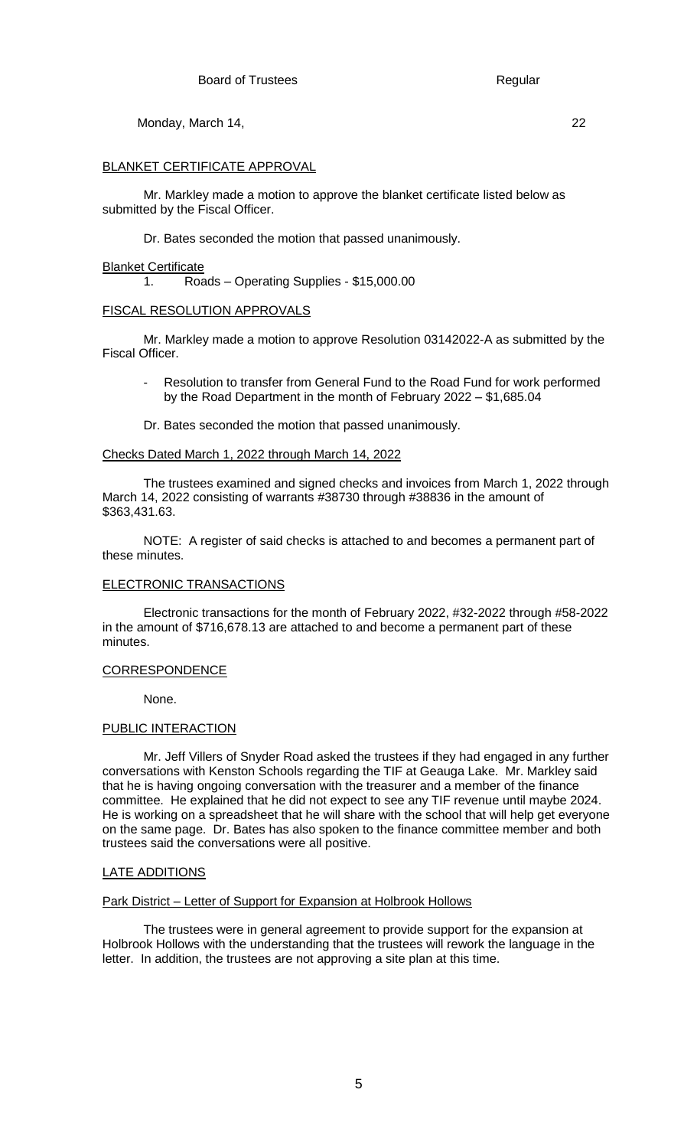# BLANKET CERTIFICATE APPROVAL

Mr. Markley made a motion to approve the blanket certificate listed below as submitted by the Fiscal Officer.

Dr. Bates seconded the motion that passed unanimously.

## Blanket Certificate

1. Roads – Operating Supplies - \$15,000.00

## FISCAL RESOLUTION APPROVALS

Mr. Markley made a motion to approve Resolution 03142022-A as submitted by the Fiscal Officer.

- Resolution to transfer from General Fund to the Road Fund for work performed by the Road Department in the month of February 2022 – \$1,685.04
- Dr. Bates seconded the motion that passed unanimously.

### Checks Dated March 1, 2022 through March 14, 2022

The trustees examined and signed checks and invoices from March 1, 2022 through March 14, 2022 consisting of warrants #38730 through #38836 in the amount of \$363,431.63.

NOTE: A register of said checks is attached to and becomes a permanent part of these minutes.

### ELECTRONIC TRANSACTIONS

Electronic transactions for the month of February 2022, #32-2022 through #58-2022 in the amount of \$716,678.13 are attached to and become a permanent part of these minutes.

### CORRESPONDENCE

None.

## PUBLIC INTERACTION

Mr. Jeff Villers of Snyder Road asked the trustees if they had engaged in any further conversations with Kenston Schools regarding the TIF at Geauga Lake. Mr. Markley said that he is having ongoing conversation with the treasurer and a member of the finance committee. He explained that he did not expect to see any TIF revenue until maybe 2024. He is working on a spreadsheet that he will share with the school that will help get everyone on the same page. Dr. Bates has also spoken to the finance committee member and both trustees said the conversations were all positive.

### LATE ADDITIONS

### Park District – Letter of Support for Expansion at Holbrook Hollows

The trustees were in general agreement to provide support for the expansion at Holbrook Hollows with the understanding that the trustees will rework the language in the letter. In addition, the trustees are not approving a site plan at this time.